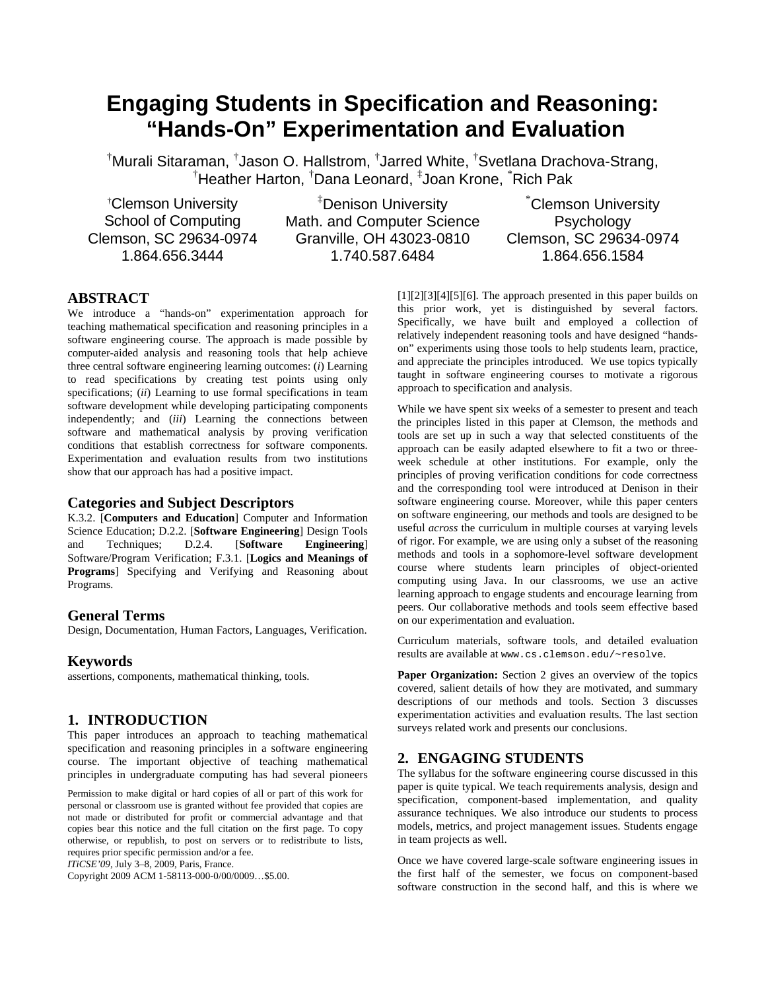# **Engaging Students in Specification and Reasoning: "Hands-On" Experimentation and Evaluation**

<sup>†</sup>Murali Sitaraman, <sup>†</sup>Jason O. Hallstrom, <sup>†</sup>Jarred White, <sup>†</sup>Svetlana Drachova-Strang, <sup>†</sup>Heather Harton, <sup>†</sup>Dana Leonard, <sup>‡</sup>Joan Krone, <sup>\*</sup>Rich Pak

† Clemson University School of Computing Clemson, SC 29634-0974 1.864.656.3444

‡ Denison University Math. and Computer Science Granville, OH 43023-0810 1.740.587.6484

\* Clemson University Psychology Clemson, SC 29634-0974 1.864.656.1584

# **ABSTRACT**

We introduce a "hands-on" experimentation approach for teaching mathematical specification and reasoning principles in a software engineering course. The approach is made possible by computer-aided analysis and reasoning tools that help achieve three central software engineering learning outcomes: (*i*) Learning to read specifications by creating test points using only specifications; *(ii)* Learning to use formal specifications in team software development while developing participating components independently; and (*iii*) Learning the connections between software and mathematical analysis by proving verification conditions that establish correctness for software components. Experimentation and evaluation results from two institutions show that our approach has had a positive impact.

## **Categories and Subject Descriptors**

K.3.2. [**Computers and Education**] Computer and Information Science Education; D.2.2. [**Software Engineering**] Design Tools and Techniques; D.2.4. [**Software Engineering**] Software/Program Verification; F.3.1. [**Logics and Meanings of Programs**] Specifying and Verifying and Reasoning about Programs*.* 

## **General Terms**

Design, Documentation, Human Factors, Languages, Verification.

## **Keywords**

assertions, components, mathematical thinking, tools.

# **1. INTRODUCTION**

This paper introduces an approach to teaching mathematical specification and reasoning principles in a software engineering course. The important objective of teaching mathematical principles in undergraduate computing has had several pioneers

Permission to make digital or hard copies of all or part of this work for personal or classroom use is granted without fee provided that copies are not made or distributed for profit or commercial advantage and that copies bear this notice and the full citation on the first page. To copy otherwise, or republish, to post on servers or to redistribute to lists, requires prior specific permission and/or a fee.

*ITiCSE'09*, July 3–8, 2009, Paris, France.

Copyright 2009 ACM 1-58113-000-0/00/0009…\$5.00.

[1][2][3][4][5][6]. The approach presented in this paper builds on this prior work, yet is distinguished by several factors. Specifically, we have built and employed a collection of relatively independent reasoning tools and have designed "handson" experiments using those tools to help students learn, practice, and appreciate the principles introduced. We use topics typically taught in software engineering courses to motivate a rigorous approach to specification and analysis.

While we have spent six weeks of a semester to present and teach the principles listed in this paper at Clemson, the methods and tools are set up in such a way that selected constituents of the approach can be easily adapted elsewhere to fit a two or threeweek schedule at other institutions. For example, only the principles of proving verification conditions for code correctness and the corresponding tool were introduced at Denison in their software engineering course. Moreover, while this paper centers on software engineering, our methods and tools are designed to be useful *across* the curriculum in multiple courses at varying levels of rigor. For example, we are using only a subset of the reasoning methods and tools in a sophomore-level software development course where students learn principles of object-oriented computing using Java. In our classrooms, we use an active learning approach to engage students and encourage learning from peers. Our collaborative methods and tools seem effective based on our experimentation and evaluation.

Curriculum materials, software tools, and detailed evaluation results are available at www.cs.clemson.edu/~resolve.

**Paper Organization:** Section 2 gives an overview of the topics covered, salient details of how they are motivated, and summary descriptions of our methods and tools. Section 3 discusses experimentation activities and evaluation results. The last section surveys related work and presents our conclusions.

# **2. ENGAGING STUDENTS**

The syllabus for the software engineering course discussed in this paper is quite typical. We teach requirements analysis, design and specification, component-based implementation, and quality assurance techniques. We also introduce our students to process models, metrics, and project management issues. Students engage in team projects as well.

Once we have covered large-scale software engineering issues in the first half of the semester, we focus on component-based software construction in the second half, and this is where we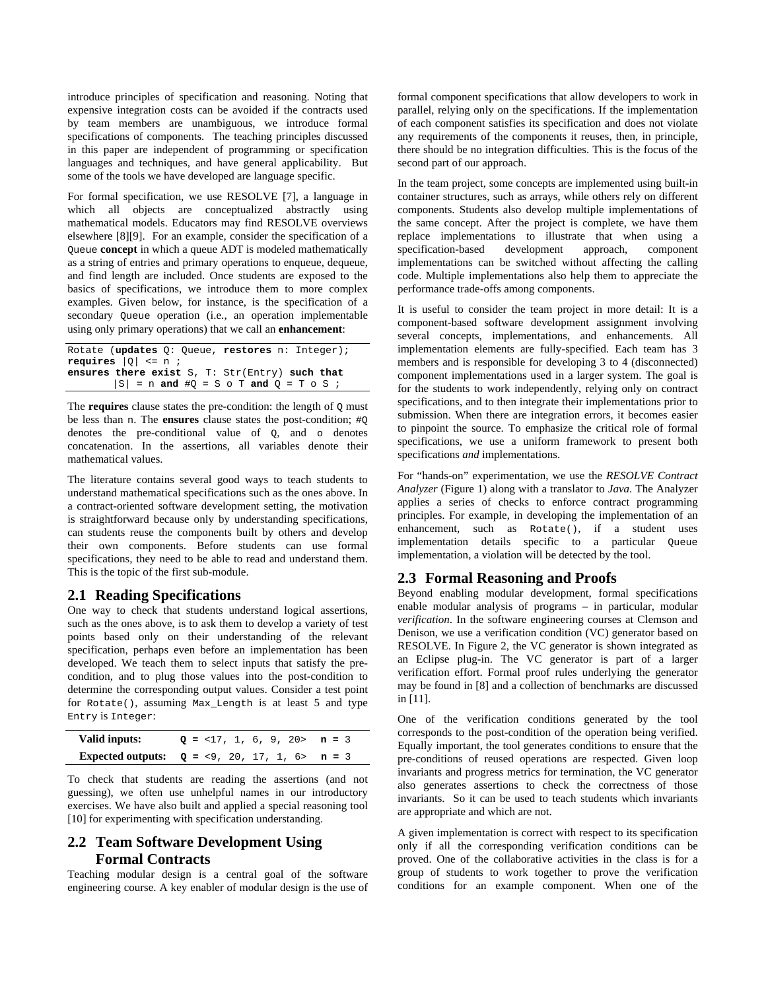introduce principles of specification and reasoning. Noting that expensive integration costs can be avoided if the contracts used by team members are unambiguous, we introduce formal specifications of components. The teaching principles discussed in this paper are independent of programming or specification languages and techniques, and have general applicability. But some of the tools we have developed are language specific.

For formal specification, we use RESOLVE [7], a language in which all objects are conceptualized abstractly using mathematical models. Educators may find RESOLVE overviews elsewhere [8][9]. For an example, consider the specification of a Queue **concept** in which a queue ADT is modeled mathematically as a string of entries and primary operations to enqueue, dequeue, and find length are included. Once students are exposed to the basics of specifications, we introduce them to more complex examples. Given below, for instance, is the specification of a secondary Queue operation (i.e., an operation implementable using only primary operations) that we call an **enhancement**:

| Rotate (updates 0: Oueue, restores n: Integer); |  |
|-------------------------------------------------|--|
| requires $ 0  \leq n$ ;                         |  |
| ensures there exist S, T: Str(Entry) such that  |  |
| $ S $ = n and #Q = S o T and Q = T o S ;        |  |

The **requires** clause states the pre-condition: the length of  $Q$  must be less than n. The **ensures** clause states the post-condition; #Q denotes the pre-conditional value of Q, and o denotes concatenation. In the assertions, all variables denote their mathematical values.

The literature contains several good ways to teach students to understand mathematical specifications such as the ones above. In a contract-oriented software development setting, the motivation is straightforward because only by understanding specifications, can students reuse the components built by others and develop their own components. Before students can use formal specifications, they need to be able to read and understand them. This is the topic of the first sub-module.

#### **2.1 Reading Specifications**

One way to check that students understand logical assertions, such as the ones above, is to ask them to develop a variety of test points based only on their understanding of the relevant specification, perhaps even before an implementation has been developed. We teach them to select inputs that satisfy the precondition, and to plug those values into the post-condition to determine the corresponding output values. Consider a test point for Rotate(), assuming Max\_Length is at least 5 and type Entry is Integer:

| Valid inputs: | $Q = \langle 17, 1, 6, 9, 20 \rangle$ n = 3            |  |
|---------------|--------------------------------------------------------|--|
|               | <b>Expected outputs:</b> $Q = 0, 20, 17, 1, 6 > n = 3$ |  |

To check that students are reading the assertions (and not guessing), we often use unhelpful names in our introductory exercises. We have also built and applied a special reasoning tool [10] for experimenting with specification understanding.

# **2.2 Team Software Development Using Formal Contracts**

Teaching modular design is a central goal of the software engineering course. A key enabler of modular design is the use of formal component specifications that allow developers to work in parallel, relying only on the specifications. If the implementation of each component satisfies its specification and does not violate any requirements of the components it reuses, then, in principle, there should be no integration difficulties. This is the focus of the second part of our approach.

In the team project, some concepts are implemented using built-in container structures, such as arrays, while others rely on different components. Students also develop multiple implementations of the same concept. After the project is complete, we have them replace implementations to illustrate that when using a specification-based development approach, component implementations can be switched without affecting the calling code. Multiple implementations also help them to appreciate the performance trade-offs among components.

It is useful to consider the team project in more detail: It is a component-based software development assignment involving several concepts, implementations, and enhancements. All implementation elements are fully-specified. Each team has 3 members and is responsible for developing 3 to 4 (disconnected) component implementations used in a larger system. The goal is for the students to work independently, relying only on contract specifications, and to then integrate their implementations prior to submission. When there are integration errors, it becomes easier to pinpoint the source. To emphasize the critical role of formal specifications, we use a uniform framework to present both specifications *and* implementations.

For "hands-on" experimentation, we use the *RESOLVE Contract Analyzer* (Figure 1) along with a translator to *Java*. The Analyzer applies a series of checks to enforce contract programming principles. For example, in developing the implementation of an enhancement, such as Rotate(), if a student uses implementation details specific to a particular Queue implementation, a violation will be detected by the tool.

# **2.3 Formal Reasoning and Proofs**

Beyond enabling modular development, formal specifications enable modular analysis of programs – in particular, modular *verification*. In the software engineering courses at Clemson and Denison, we use a verification condition (VC) generator based on RESOLVE. In Figure 2, the VC generator is shown integrated as an Eclipse plug-in. The VC generator is part of a larger verification effort. Formal proof rules underlying the generator may be found in [8] and a collection of benchmarks are discussed in [11].

One of the verification conditions generated by the tool corresponds to the post-condition of the operation being verified. Equally important, the tool generates conditions to ensure that the pre-conditions of reused operations are respected. Given loop invariants and progress metrics for termination, the VC generator also generates assertions to check the correctness of those invariants. So it can be used to teach students which invariants are appropriate and which are not.

A given implementation is correct with respect to its specification only if all the corresponding verification conditions can be proved. One of the collaborative activities in the class is for a group of students to work together to prove the verification conditions for an example component. When one of the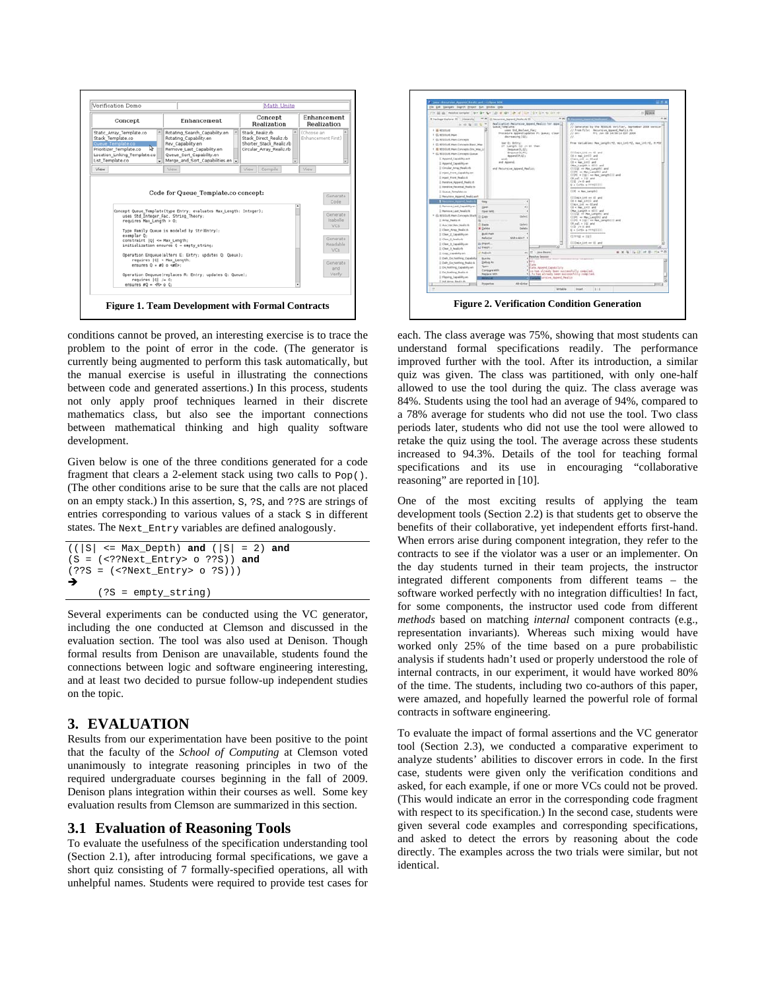

conditions cannot be proved, an interesting exercise is to trace the problem to the point of error in the code. (The generator is currently being augmented to perform this task automatically, but the manual exercise is useful in illustrating the connections between code and generated assertions.) In this process, students not only apply proof techniques learned in their discrete mathematics class, but also see the important connections between mathematical thinking and high quality software development.

Given below is one of the three conditions generated for a code fragment that clears a 2-element stack using two calls to Pop(). (The other conditions arise to be sure that the calls are not placed on an empty stack.) In this assertion, S, ?S, and ??S are strings of entries corresponding to various values of a stack S in different states. The Next\_Entry variables are defined analogously.

```
(|S| \leq Max Depth) and (|S| = 2) and
(S = (<??Next_Entry> o ??S)) and 
(??S = (<?Next_Entry> o ?S))) 
Î
      (?S = empty_string)
```
Several experiments can be conducted using the VC generator, including the one conducted at Clemson and discussed in the evaluation section. The tool was also used at Denison. Though formal results from Denison are unavailable, students found the connections between logic and software engineering interesting, and at least two decided to pursue follow-up independent studies on the topic.

## **3. EVALUATION**

Results from our experimentation have been positive to the point that the faculty of the *School of Computing* at Clemson voted unanimously to integrate reasoning principles in two of the required undergraduate courses beginning in the fall of 2009. Denison plans integration within their courses as well. Some key evaluation results from Clemson are summarized in this section.

## **3.1 Evaluation of Reasoning Tools**

To evaluate the usefulness of the specification understanding tool (Section 2.1), after introducing formal specifications, we gave a short quiz consisting of 7 formally-specified operations, all with unhelpful names. Students were required to provide test cases for



each. The class average was 75%, showing that most students can understand formal specifications readily. The performance improved further with the tool. After its introduction, a similar quiz was given. The class was partitioned, with only one-half allowed to use the tool during the quiz. The class average was 84%. Students using the tool had an average of 94%, compared to a 78% average for students who did not use the tool. Two class periods later, students who did not use the tool were allowed to retake the quiz using the tool. The average across these students increased to 94.3%. Details of the tool for teaching formal specifications and its use in encouraging "collaborative reasoning" are reported in [10].

One of the most exciting results of applying the team development tools (Section 2.2) is that students get to observe the benefits of their collaborative, yet independent efforts first-hand. When errors arise during component integration, they refer to the contracts to see if the violator was a user or an implementer. On the day students turned in their team projects, the instructor integrated different components from different teams – the software worked perfectly with no integration difficulties! In fact, for some components, the instructor used code from different *methods* based on matching *internal* component contracts (e.g., representation invariants). Whereas such mixing would have worked only 25% of the time based on a pure probabilistic analysis if students hadn't used or properly understood the role of internal contracts, in our experiment, it would have worked 80% of the time. The students, including two co-authors of this paper, were amazed, and hopefully learned the powerful role of formal contracts in software engineering.

To evaluate the impact of formal assertions and the VC generator tool (Section 2.3), we conducted a comparative experiment to analyze students' abilities to discover errors in code. In the first case, students were given only the verification conditions and asked, for each example, if one or more VCs could not be proved. (This would indicate an error in the corresponding code fragment with respect to its specification.) In the second case, students were given several code examples and corresponding specifications, and asked to detect the errors by reasoning about the code directly. The examples across the two trials were similar, but not identical.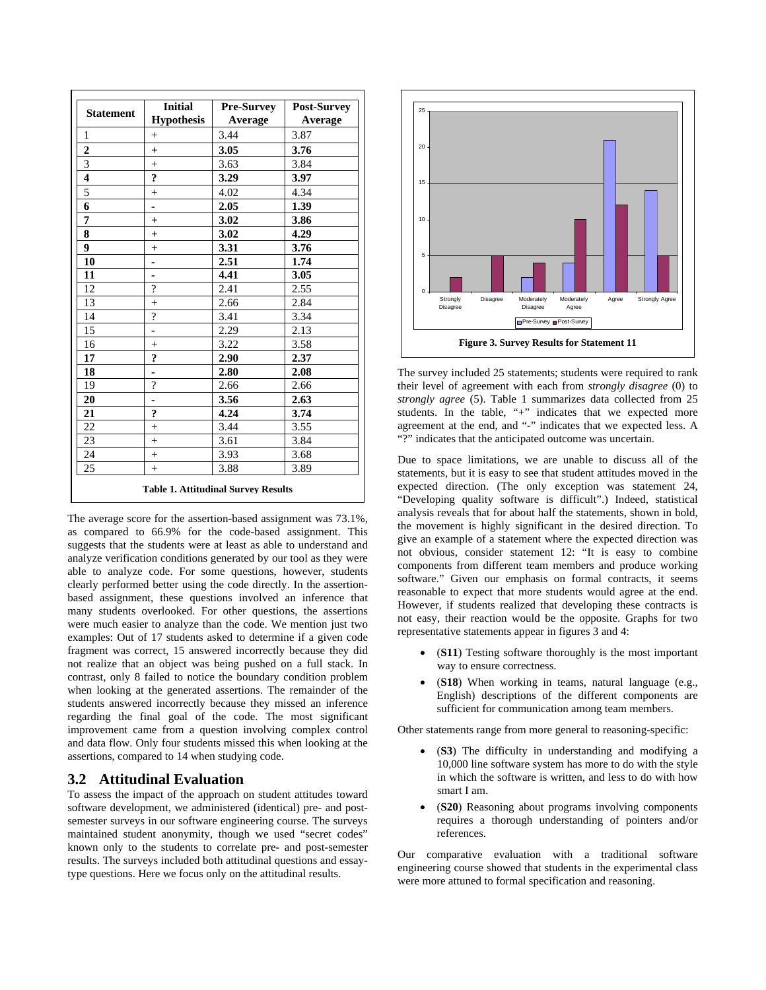| <b>Statement</b>                           | <b>Initial</b>           | <b>Pre-Survey</b> | Post-Survey |  |
|--------------------------------------------|--------------------------|-------------------|-------------|--|
|                                            | <b>Hypothesis</b>        | Average           | Average     |  |
| 1                                          | $^{+}$                   | 3.44              | 3.87        |  |
| $\overline{2}$                             | $+$                      | 3.05              | 3.76        |  |
| 3                                          | $^{+}$                   | 3.63              | 3.84        |  |
| $\overline{\mathbf{4}}$                    | $\overline{\mathbf{r}}$  | 3.29              | 3.97        |  |
| 5                                          | $+$                      | 4.02              | 4.34        |  |
| 6                                          |                          | 2.05              | 1.39        |  |
| 7                                          | $+$                      | 3.02              | 3.86        |  |
| 8                                          | $+$                      | 3.02              | 4.29        |  |
| 9                                          | $+$                      | 3.31              | 3.76        |  |
| 10                                         |                          | 2.51              | 1.74        |  |
| 11                                         | ۰                        | 4.41              | 3.05        |  |
| 12                                         | $\overline{\mathcal{L}}$ | 2.41              | 2.55        |  |
| 13                                         | $^{+}$                   | 2.66              | 2.84        |  |
| 14                                         | $\overline{?}$           | 3.41              | 3.34        |  |
| 15                                         | $\overline{\phantom{0}}$ | 2.29              | 2.13        |  |
| 16                                         | $+$                      | 3.22              | 3.58        |  |
| 17                                         | ?                        | 2.90              | 2.37        |  |
| 18                                         |                          | 2.80              | 2.08        |  |
| 19                                         | $\overline{\mathcal{L}}$ | 2.66              | 2.66        |  |
| 20                                         |                          | 3.56              | 2.63        |  |
| 21                                         | $\overline{\cdot}$       | 4.24              | 3.74        |  |
| 22                                         | $^{+}$                   | 3.44              | 3.55        |  |
| 23                                         | $^{+}$                   | 3.61              | 3.84        |  |
| 24                                         | $\! + \!\!\!\!$          | 3.93              | 3.68        |  |
| 25                                         | $+$                      | 3.88              | 3.89        |  |
| <b>Table 1. Attitudinal Survey Results</b> |                          |                   |             |  |

The average score for the assertion-based assignment was 73.1%, as compared to 66.9% for the code-based assignment. This suggests that the students were at least as able to understand and analyze verification conditions generated by our tool as they were able to analyze code. For some questions, however, students clearly performed better using the code directly. In the assertionbased assignment, these questions involved an inference that many students overlooked. For other questions, the assertions were much easier to analyze than the code. We mention just two examples: Out of 17 students asked to determine if a given code fragment was correct, 15 answered incorrectly because they did not realize that an object was being pushed on a full stack. In contrast, only 8 failed to notice the boundary condition problem when looking at the generated assertions. The remainder of the students answered incorrectly because they missed an inference regarding the final goal of the code. The most significant improvement came from a question involving complex control and data flow. Only four students missed this when looking at the assertions, compared to 14 when studying code.

## **3.2 Attitudinal Evaluation**

To assess the impact of the approach on student attitudes toward software development, we administered (identical) pre- and postsemester surveys in our software engineering course. The surveys maintained student anonymity, though we used "secret codes" known only to the students to correlate pre- and post-semester results. The surveys included both attitudinal questions and essaytype questions. Here we focus only on the attitudinal results.



The survey included 25 statements; students were required to rank their level of agreement with each from *strongly disagree* (0) to *strongly agree* (5). Table 1 summarizes data collected from 25 students. In the table, "+" indicates that we expected more agreement at the end, and "-" indicates that we expected less. A "?" indicates that the anticipated outcome was uncertain.

Due to space limitations, we are unable to discuss all of the statements, but it is easy to see that student attitudes moved in the expected direction. (The only exception was statement 24, "Developing quality software is difficult".) Indeed, statistical analysis reveals that for about half the statements, shown in bold, the movement is highly significant in the desired direction. To give an example of a statement where the expected direction was not obvious, consider statement 12: "It is easy to combine components from different team members and produce working software." Given our emphasis on formal contracts, it seems reasonable to expect that more students would agree at the end. However, if students realized that developing these contracts is not easy, their reaction would be the opposite. Graphs for two representative statements appear in figures 3 and 4:

- (**S11**) Testing software thoroughly is the most important way to ensure correctness.
- (**S18**) When working in teams, natural language (e.g., English) descriptions of the different components are sufficient for communication among team members.

Other statements range from more general to reasoning-specific:

- (**S3**) The difficulty in understanding and modifying a 10,000 line software system has more to do with the style in which the software is written, and less to do with how smart I am.
- (**S20**) Reasoning about programs involving components requires a thorough understanding of pointers and/or references.

Our comparative evaluation with a traditional software engineering course showed that students in the experimental class were more attuned to formal specification and reasoning.